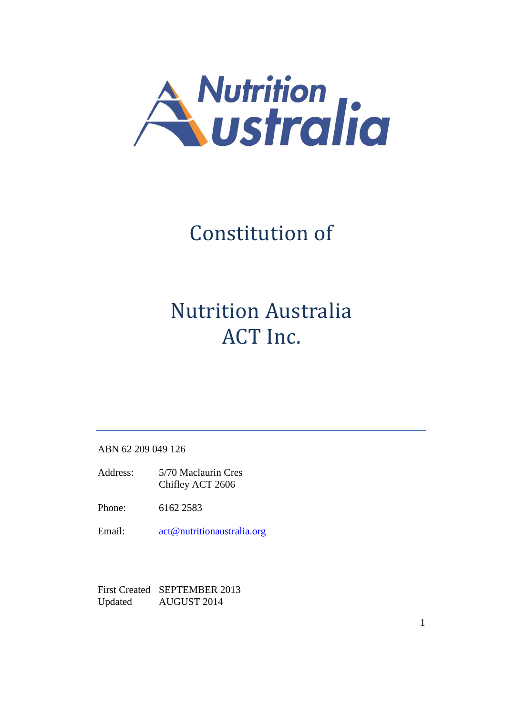

# Constitution of

# Nutrition Australia ACT Inc.

ABN 62 209 049 126

- Address: 5/70 Maclaurin Cres Chifley ACT 2606
- Phone: 6162 2583
- Email: [act@nutritionaustralia.org](mailto:act@nutritionaustralia.org)

First Created SEPTEMBER 2013 Updated AUGUST 2014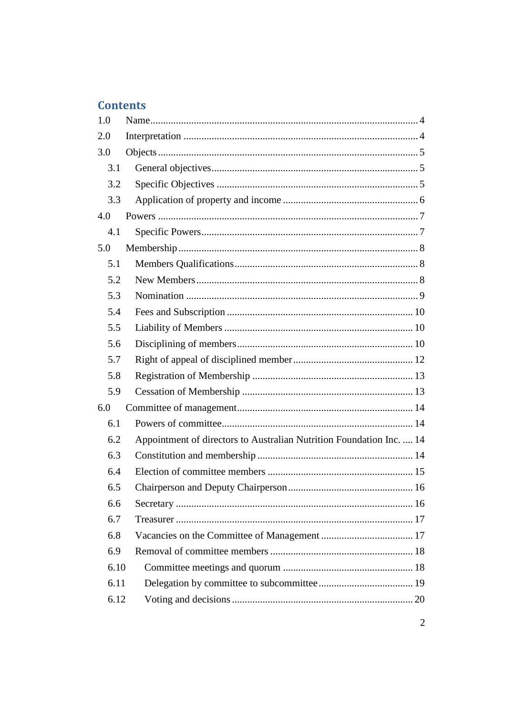# **Contents**

| 1.0  |                                                                      |  |
|------|----------------------------------------------------------------------|--|
| 2.0  |                                                                      |  |
| 3.0  |                                                                      |  |
| 3.1  |                                                                      |  |
| 3.2  |                                                                      |  |
| 3.3  |                                                                      |  |
| 4.0  |                                                                      |  |
| 4.1  |                                                                      |  |
| 5.0  |                                                                      |  |
| 5.1  |                                                                      |  |
| 5.2  |                                                                      |  |
| 5.3  |                                                                      |  |
| 5.4  |                                                                      |  |
| 5.5  |                                                                      |  |
| 5.6  |                                                                      |  |
| 5.7  |                                                                      |  |
| 5.8  |                                                                      |  |
| 5.9  |                                                                      |  |
| 6.0  |                                                                      |  |
| 6.1  |                                                                      |  |
| 6.2  | Appointment of directors to Australian Nutrition Foundation Inc.  14 |  |
| 6.3  |                                                                      |  |
| 6.4  |                                                                      |  |
| 6.5  |                                                                      |  |
| 6.6  |                                                                      |  |
| 6.7  |                                                                      |  |
| 6.8  |                                                                      |  |
| 6.9  |                                                                      |  |
| 6.10 |                                                                      |  |
| 6.11 |                                                                      |  |
| 6.12 |                                                                      |  |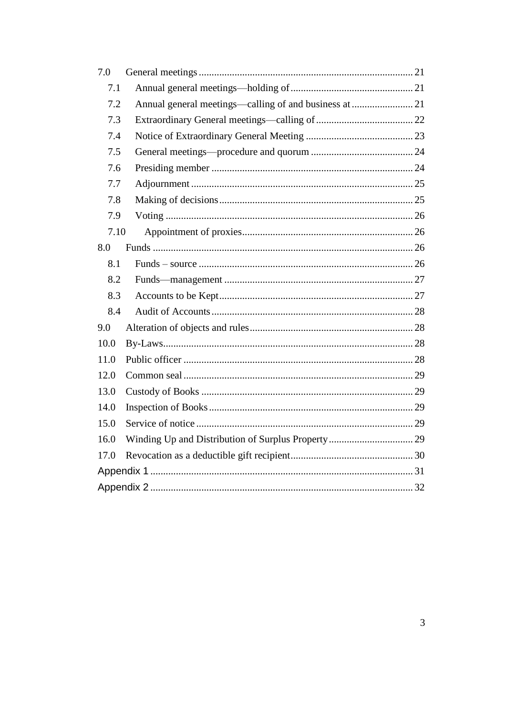| 7.0  |                                                        |  |
|------|--------------------------------------------------------|--|
| 7.1  |                                                        |  |
| 7.2  | Annual general meetings—calling of and business at  21 |  |
| 7.3  |                                                        |  |
| 7.4  |                                                        |  |
| 7.5  |                                                        |  |
| 7.6  |                                                        |  |
| 7.7  |                                                        |  |
| 7.8  |                                                        |  |
| 7.9  |                                                        |  |
| 7.10 |                                                        |  |
| 8.0  |                                                        |  |
| 8.1  |                                                        |  |
| 8.2  |                                                        |  |
| 8.3  |                                                        |  |
| 8.4  |                                                        |  |
| 9.0  |                                                        |  |
| 10.0 |                                                        |  |
| 11.0 |                                                        |  |
| 12.0 |                                                        |  |
| 13.0 |                                                        |  |
| 14.0 |                                                        |  |
| 15.0 |                                                        |  |
| 16.0 |                                                        |  |
| 17.0 |                                                        |  |
|      |                                                        |  |
|      |                                                        |  |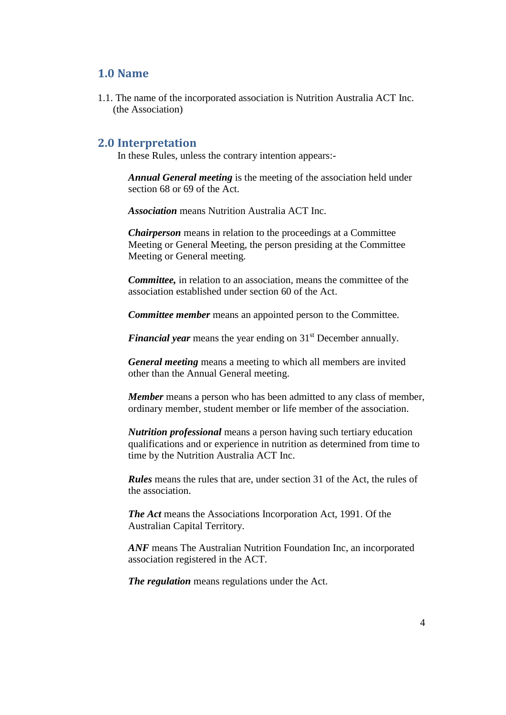## <span id="page-3-0"></span>**1.0 Name**

<span id="page-3-1"></span>1.1. The name of the incorporated association is Nutrition Australia ACT Inc. (the Association)

#### **2.0 Interpretation**

In these Rules, unless the contrary intention appears:-

*Annual General meeting* is the meeting of the association held under section 68 or 69 of the Act.

*Association* means Nutrition Australia ACT Inc.

*Chairperson* means in relation to the proceedings at a Committee Meeting or General Meeting, the person presiding at the Committee Meeting or General meeting.

*Committee,* in relation to an association, means the committee of the association established under section 60 of the Act.

*Committee member* means an appointed person to the Committee.

*Financial year* means the year ending on 31<sup>st</sup> December annually.

*General meeting* means a meeting to which all members are invited other than the Annual General meeting.

*Member* means a person who has been admitted to any class of member, ordinary member, student member or life member of the association.

*Nutrition professional* means a person having such tertiary education qualifications and or experience in nutrition as determined from time to time by the Nutrition Australia ACT Inc.

*Rules* means the rules that are, under section 31 of the Act, the rules of the association.

*The Act* means the Associations Incorporation Act, 1991. Of the Australian Capital Territory.

*ANF* means The Australian Nutrition Foundation Inc, an incorporated association registered in the ACT.

*The regulation* means regulations under the Act.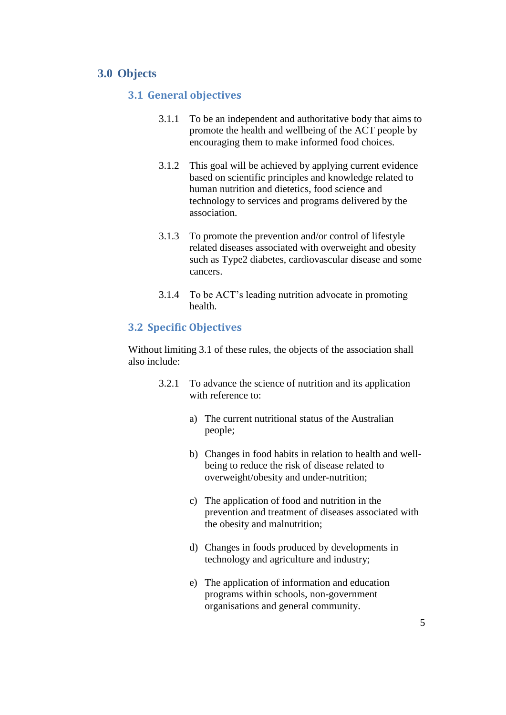## <span id="page-4-1"></span><span id="page-4-0"></span>**3.0 Objects**

#### **3.1 General objectives**

- 3.1.1 To be an independent and authoritative body that aims to promote the health and wellbeing of the ACT people by encouraging them to make informed food choices.
- 3.1.2 This goal will be achieved by applying current evidence based on scientific principles and knowledge related to human nutrition and dietetics, food science and technology to services and programs delivered by the association.
- 3.1.3 To promote the prevention and/or control of lifestyle related diseases associated with overweight and obesity such as Type2 diabetes, cardiovascular disease and some cancers.
- 3.1.4 To be ACT's leading nutrition advocate in promoting health.

#### <span id="page-4-2"></span>**3.2 Specific Objectives**

Without limiting 3.1 of these rules, the objects of the association shall also include:

- 3.2.1 To advance the science of nutrition and its application with reference to:
	- a) The current nutritional status of the Australian people;
	- b) Changes in food habits in relation to health and wellbeing to reduce the risk of disease related to overweight/obesity and under-nutrition;
	- c) The application of food and nutrition in the prevention and treatment of diseases associated with the obesity and malnutrition;
	- d) Changes in foods produced by developments in technology and agriculture and industry;
	- e) The application of information and education programs within schools, non-government organisations and general community.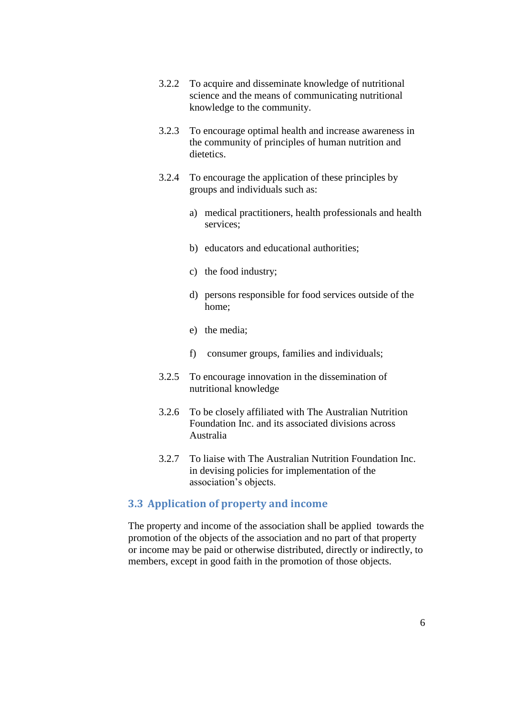- 3.2.2 To acquire and disseminate knowledge of nutritional science and the means of communicating nutritional knowledge to the community.
- 3.2.3 To encourage optimal health and increase awareness in the community of principles of human nutrition and dietetics.
- 3.2.4 To encourage the application of these principles by groups and individuals such as:
	- a) medical practitioners, health professionals and health services;
	- b) educators and educational authorities;
	- c) the food industry;
	- d) persons responsible for food services outside of the home;
	- e) the media;
	- f) consumer groups, families and individuals;
- 3.2.5 To encourage innovation in the dissemination of nutritional knowledge
- 3.2.6 To be closely affiliated with The Australian Nutrition Foundation Inc. and its associated divisions across Australia
- 3.2.7 To liaise with The Australian Nutrition Foundation Inc. in devising policies for implementation of the association's objects.

#### <span id="page-5-0"></span>**3.3 Application of property and income**

The property and income of the association shall be applied towards the promotion of the objects of the association and no part of that property or income may be paid or otherwise distributed, directly or indirectly, to members, except in good faith in the promotion of those objects.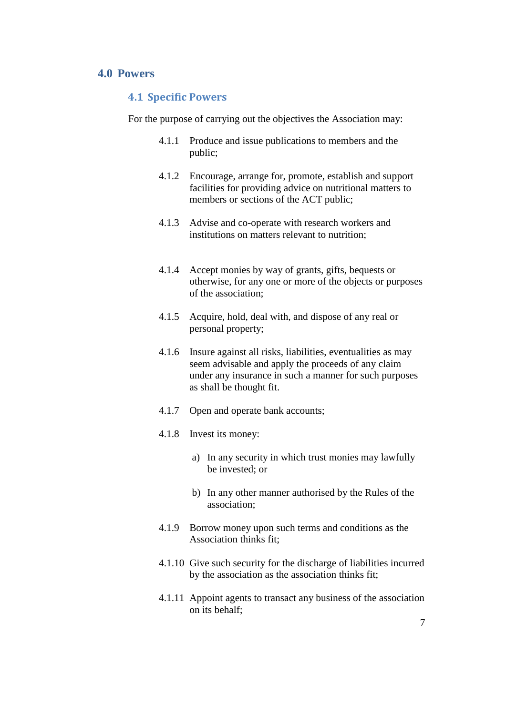## <span id="page-6-1"></span><span id="page-6-0"></span>**4.0 Powers**

#### **4.1 Specific Powers**

For the purpose of carrying out the objectives the Association may:

- 4.1.1 Produce and issue publications to members and the public;
- 4.1.2 Encourage, arrange for, promote, establish and support facilities for providing advice on nutritional matters to members or sections of the ACT public;
- 4.1.3 Advise and co-operate with research workers and institutions on matters relevant to nutrition;
- 4.1.4 Accept monies by way of grants, gifts, bequests or otherwise, for any one or more of the objects or purposes of the association;
- 4.1.5 Acquire, hold, deal with, and dispose of any real or personal property;
- 4.1.6 Insure against all risks, liabilities, eventualities as may seem advisable and apply the proceeds of any claim under any insurance in such a manner for such purposes as shall be thought fit.
- 4.1.7 Open and operate bank accounts;
- 4.1.8 Invest its money:
	- a) In any security in which trust monies may lawfully be invested; or
	- b) In any other manner authorised by the Rules of the association;
- 4.1.9 Borrow money upon such terms and conditions as the Association thinks fit;
- 4.1.10 Give such security for the discharge of liabilities incurred by the association as the association thinks fit;
- 4.1.11 Appoint agents to transact any business of the association on its behalf;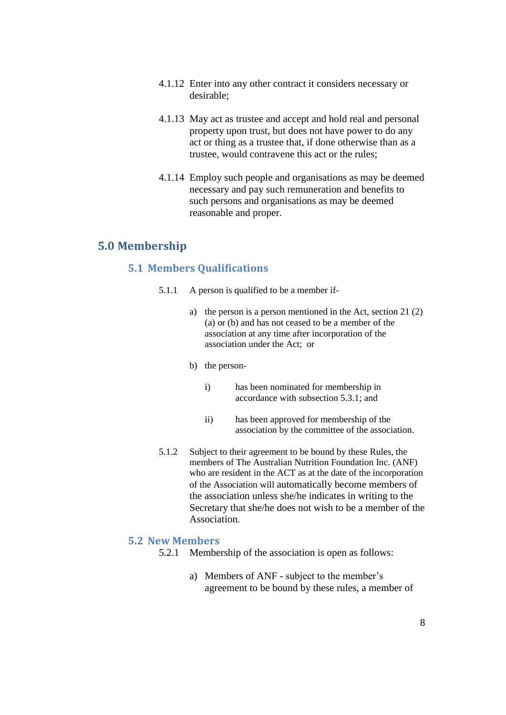- 4.1.12 Enter into any other contract it considers necessary or desirable;
- 4.1.13 May act as trustee and accept and hold real and personal property upon trust, but does not have power to do any act or thing as a trustee that, if done otherwise than as a trustee, would contravene this act or the rules;
- 4.1.14 Employ such people and organisations as may be deemed necessary and pay such remuneration and benefits to such persons and organisations as may be deemed reasonable and proper.

## <span id="page-7-1"></span><span id="page-7-0"></span>**5.0 Membership**

#### **5.1 Members Qualifications**

- 5.1.1 A person is qualified to be a member if
	- a) the person is a person mentioned in the Act, section 21 (2) (a) or (b) and has not ceased to be a member of the association at any time after incorporation of the association under the Act; or
	- b) the person
		- i) has been nominated for membership in accordance with subsection 5.3.1; and
		- ii) has been approved for membership of the association by the committee of the association.
- 5.1.2 Subject to their agreement to be bound by these Rules, the members of The Australian Nutrition Foundation Inc. (ANF) who are resident in the ACT as at the date of the incorporation of the Association will automatically become members of the association unless she/he indicates in writing to the Secretary that she/he does not wish to be a member of the Association.

#### <span id="page-7-2"></span>**5.2 New Members**

- 5.2.1 Membership of the association is open as follows:
	- a) Members of ANF subject to the member's agreement to be bound by these rules, a member of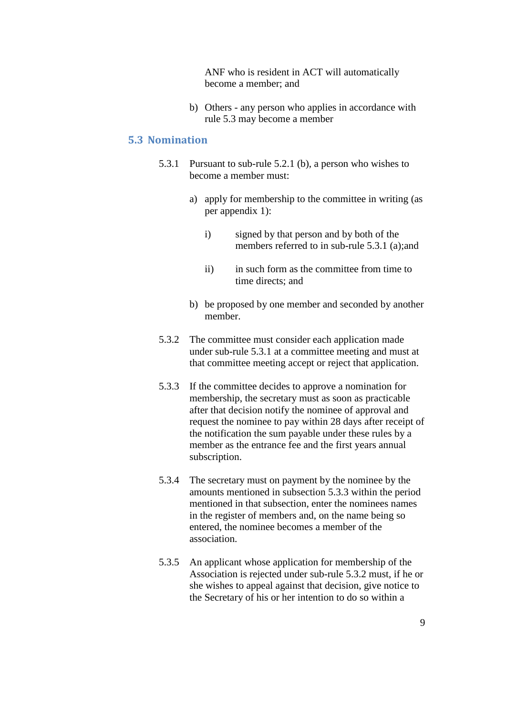ANF who is resident in ACT will automatically become a member; and

b) Others - any person who applies in accordance with rule 5.3 may become a member

#### <span id="page-8-0"></span>**5.3 Nomination**

- 5.3.1 Pursuant to sub-rule 5.2.1 (b), a person who wishes to become a member must:
	- a) apply for membership to the committee in writing (as per appendix 1):
		- i) signed by that person and by both of the members referred to in sub-rule 5.3.1 (a);and
		- ii) in such form as the committee from time to time directs; and
	- b) be proposed by one member and seconded by another member.
- 5.3.2 The committee must consider each application made under sub-rule 5.3.1 at a committee meeting and must at that committee meeting accept or reject that application.
- 5.3.3 If the committee decides to approve a nomination for membership, the secretary must as soon as practicable after that decision notify the nominee of approval and request the nominee to pay within 28 days after receipt of the notification the sum payable under these rules by a member as the entrance fee and the first years annual subscription.
- 5.3.4 The secretary must on payment by the nominee by the amounts mentioned in subsection 5.3.3 within the period mentioned in that subsection, enter the nominees names in the register of members and, on the name being so entered, the nominee becomes a member of the association.
- 5.3.5 An applicant whose application for membership of the Association is rejected under sub-rule 5.3.2 must, if he or she wishes to appeal against that decision, give notice to the Secretary of his or her intention to do so within a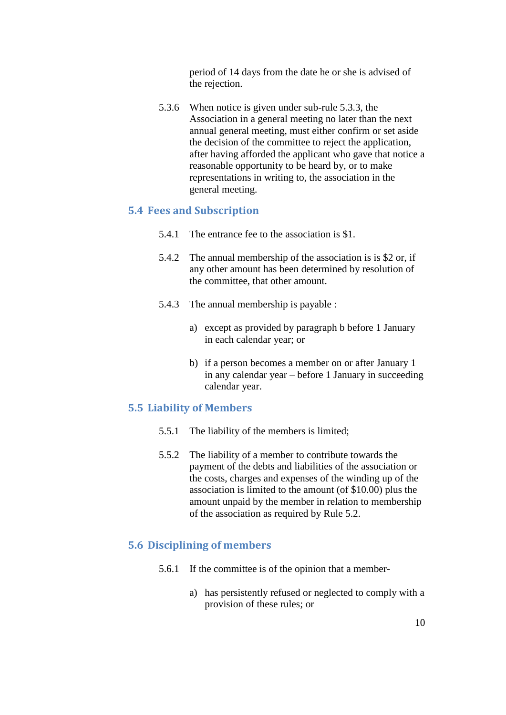period of 14 days from the date he or she is advised of the rejection.

5.3.6 When notice is given under sub-rule 5.3.3, the Association in a general meeting no later than the next annual general meeting, must either confirm or set aside the decision of the committee to reject the application, after having afforded the applicant who gave that notice a reasonable opportunity to be heard by, or to make representations in writing to, the association in the general meeting.

#### <span id="page-9-0"></span>**5.4 Fees and Subscription**

- 5.4.1 The entrance fee to the association is \$1.
- 5.4.2 The annual membership of the association is is \$2 or, if any other amount has been determined by resolution of the committee, that other amount.
- 5.4.3 The annual membership is payable :
	- a) except as provided by paragraph b before 1 January in each calendar year; or
	- b) if a person becomes a member on or after January 1 in any calendar year – before 1 January in succeeding calendar year.

#### <span id="page-9-1"></span>**5.5 Liability of Members**

- 5.5.1 The liability of the members is limited;
- 5.5.2 The liability of a member to contribute towards the payment of the debts and liabilities of the association or the costs, charges and expenses of the winding up of the association is limited to the amount (of \$10.00) plus the amount unpaid by the member in relation to membership of the association as required by Rule 5.2.

#### <span id="page-9-2"></span>**5.6 Disciplining of members**

- 5.6.1 If the committee is of the opinion that a member
	- a) has persistently refused or neglected to comply with a provision of these rules; or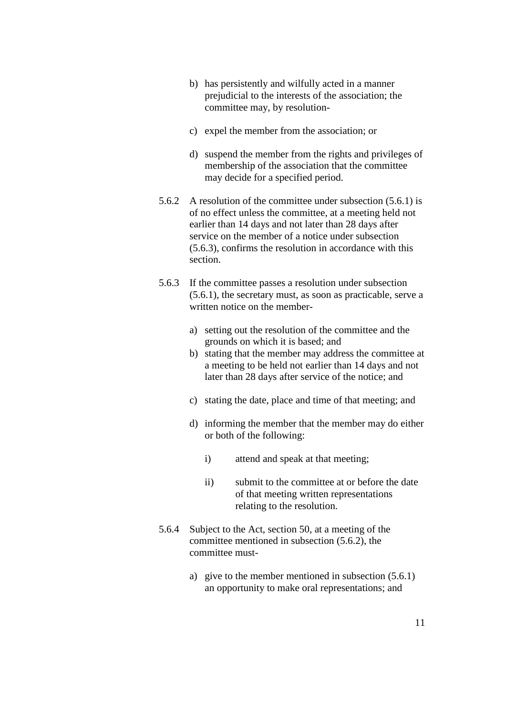- b) has persistently and wilfully acted in a manner prejudicial to the interests of the association; the committee may, by resolution-
- c) expel the member from the association; or
- d) suspend the member from the rights and privileges of membership of the association that the committee may decide for a specified period.
- 5.6.2 A resolution of the committee under subsection (5.6.1) is of no effect unless the committee, at a meeting held not earlier than 14 days and not later than 28 days after service on the member of a notice under subsection (5.6.3), confirms the resolution in accordance with this section.
- 5.6.3 If the committee passes a resolution under subsection (5.6.1), the secretary must, as soon as practicable, serve a written notice on the member
	- a) setting out the resolution of the committee and the grounds on which it is based; and
	- b) stating that the member may address the committee at a meeting to be held not earlier than 14 days and not later than 28 days after service of the notice; and
	- c) stating the date, place and time of that meeting; and
	- d) informing the member that the member may do either or both of the following:
		- i) attend and speak at that meeting;
		- ii) submit to the committee at or before the date of that meeting written representations relating to the resolution.
- 5.6.4 Subject to the Act, section 50, at a meeting of the committee mentioned in subsection (5.6.2), the committee must
	- a) give to the member mentioned in subsection (5.6.1) an opportunity to make oral representations; and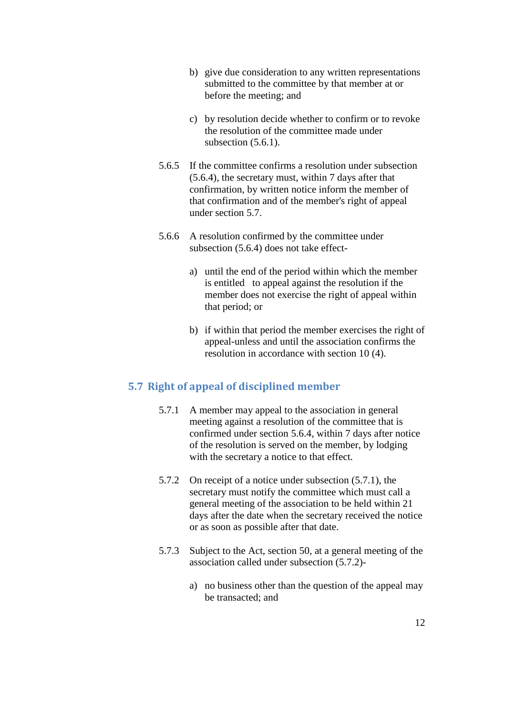- b) give due consideration to any written representations submitted to the committee by that member at or before the meeting; and
- c) by resolution decide whether to confirm or to revoke the resolution of the committee made under subsection  $(5.6.1)$ .
- 5.6.5 If the committee confirms a resolution under subsection (5.6.4), the secretary must, within 7 days after that confirmation, by written notice inform the member of that confirmation and of the member's right of appeal under section 5.7.
- 5.6.6 A resolution confirmed by the committee under subsection (5.6.4) does not take effect
	- a) until the end of the period within which the member is entitled to appeal against the resolution if the member does not exercise the right of appeal within that period; or
	- b) if within that period the member exercises the right of appeal-unless and until the association confirms the resolution in accordance with section 10 (4).

## <span id="page-11-0"></span>**5.7 Right of appeal of disciplined member**

- 5.7.1 A member may appeal to the association in general meeting against a resolution of the committee that is confirmed under section 5.6.4, within 7 days after notice of the resolution is served on the member, by lodging with the secretary a notice to that effect.
- 5.7.2 On receipt of a notice under subsection (5.7.1), the secretary must notify the committee which must call a general meeting of the association to be held within 21 days after the date when the secretary received the notice or as soon as possible after that date.
- 5.7.3 Subject to the Act, section 50, at a general meeting of the association called under subsection (5.7.2)
	- a) no business other than the question of the appeal may be transacted; and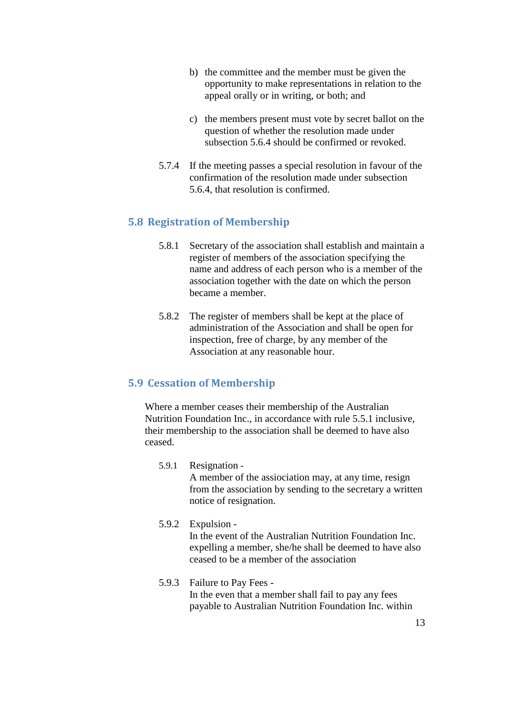- b) the committee and the member must be given the opportunity to make representations in relation to the appeal orally or in writing, or both; and
- c) the members present must vote by secret ballot on the question of whether the resolution made under subsection 5.6.4 should be confirmed or revoked.
- 5.7.4 If the meeting passes a special resolution in favour of the confirmation of the resolution made under subsection 5.6.4, that resolution is confirmed.

## <span id="page-12-0"></span>**5.8 Registration of Membership**

- 5.8.1 Secretary of the association shall establish and maintain a register of members of the association specifying the name and address of each person who is a member of the association together with the date on which the person became a member.
- 5.8.2 The register of members shall be kept at the place of administration of the Association and shall be open for inspection, free of charge, by any member of the Association at any reasonable hour.

## <span id="page-12-1"></span>**5.9 Cessation of Membership**

Where a member ceases their membership of the Australian Nutrition Foundation Inc., in accordance with rule 5.5.1 inclusive, their membership to the association shall be deemed to have also ceased.

#### 5.9.1 Resignation - A member of the assiociation may, at any time, resign from the association by sending to the secretary a written notice of resignation.

5.9.2 Expulsion - In the event of the Australian Nutrition Foundation Inc. expelling a member, she/he shall be deemed to have also ceased to be a member of the association

#### 5.9.3 Failure to Pay Fees - In the even that a member shall fail to pay any fees payable to Australian Nutrition Foundation Inc. within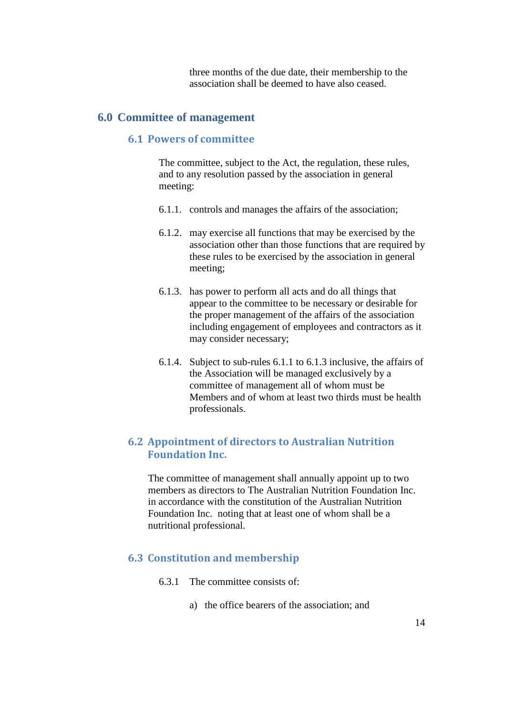three months of the due date, their membership to the association shall be deemed to have also ceased.

## <span id="page-13-1"></span><span id="page-13-0"></span>**6.0 Committee of management**

## **6.1 Powers of committee**

The committee, subject to the Act, the regulation, these rules, and to any resolution passed by the association in general meeting:

- 6.1.1. controls and manages the affairs of the association;
- 6.1.2. may exercise all functions that may be exercised by the association other than those functions that are required by these rules to be exercised by the association in general meeting;
- 6.1.3. has power to perform all acts and do all things that appear to the committee to be necessary or desirable for the proper management of the affairs of the association including engagement of employees and contractors as it may consider necessary;
- 6.1.4. Subject to sub-rules 6.1.1 to 6.1.3 inclusive, the affairs of the Association will be managed exclusively by a committee of management all of whom must be Members and of whom at least two thirds must be health professionals.

## <span id="page-13-2"></span>**6.2 Appointment of directors to Australian Nutrition Foundation Inc.**

The committee of management shall annually appoint up to two members as directors to The Australian Nutrition Foundation Inc. in accordance with the constitution of the Australian Nutrition Foundation Inc. noting that at least one of whom shall be a nutritional professional.

#### <span id="page-13-3"></span>**6.3 Constitution and membership**

- 6.3.1 The committee consists of:
	- a) the office bearers of the association; and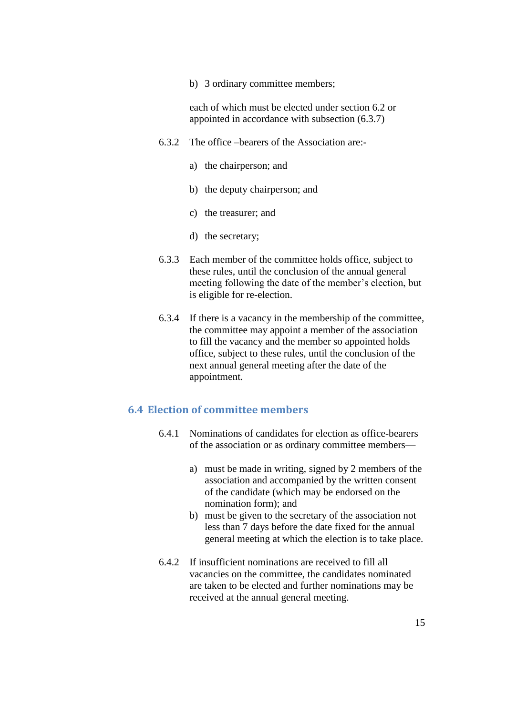b) 3 ordinary committee members;

each of which must be elected under section 6.2 or appointed in accordance with subsection (6.3.7)

- 6.3.2 The office –bearers of the Association are:
	- a) the chairperson; and
	- b) the deputy chairperson; and
	- c) the treasurer; and
	- d) the secretary;
- 6.3.3 Each member of the committee holds office, subject to these rules, until the conclusion of the annual general meeting following the date of the member's election, but is eligible for re-election.
- 6.3.4 If there is a vacancy in the membership of the committee, the committee may appoint a member of the association to fill the vacancy and the member so appointed holds office, subject to these rules, until the conclusion of the next annual general meeting after the date of the appointment.

## <span id="page-14-0"></span>**6.4 Election of committee members**

- 6.4.1 Nominations of candidates for election as office-bearers of the association or as ordinary committee members
	- a) must be made in writing, signed by 2 members of the association and accompanied by the written consent of the candidate (which may be endorsed on the nomination form); and
	- b) must be given to the secretary of the association not less than 7 days before the date fixed for the annual general meeting at which the election is to take place.
- 6.4.2 If insufficient nominations are received to fill all vacancies on the committee, the candidates nominated are taken to be elected and further nominations may be received at the annual general meeting.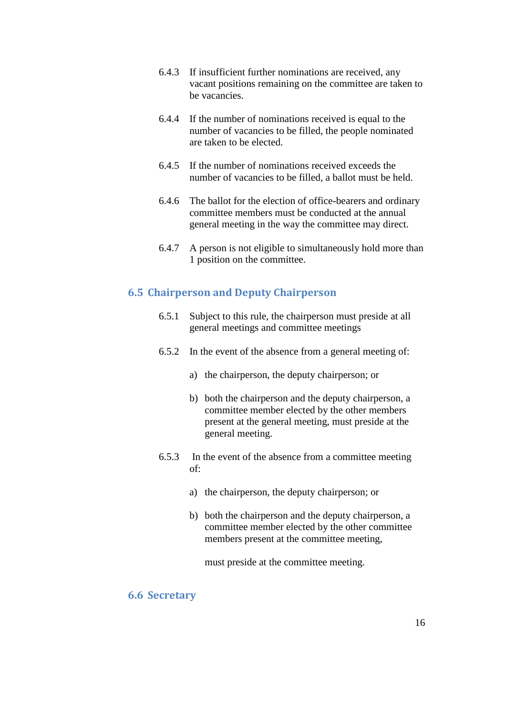- 6.4.3 If insufficient further nominations are received, any vacant positions remaining on the committee are taken to be vacancies.
- 6.4.4 If the number of nominations received is equal to the number of vacancies to be filled, the people nominated are taken to be elected.
- 6.4.5 If the number of nominations received exceeds the number of vacancies to be filled, a ballot must be held.
- 6.4.6 The ballot for the election of office-bearers and ordinary committee members must be conducted at the annual general meeting in the way the committee may direct.
- 6.4.7 A person is not eligible to simultaneously hold more than 1 position on the committee.

## <span id="page-15-0"></span>**6.5 Chairperson and Deputy Chairperson**

- 6.5.1 Subject to this rule, the chairperson must preside at all general meetings and committee meetings
- 6.5.2 In the event of the absence from a general meeting of:
	- a) the chairperson, the deputy chairperson; or
	- b) both the chairperson and the deputy chairperson, a committee member elected by the other members present at the general meeting, must preside at the general meeting.
- 6.5.3 In the event of the absence from a committee meeting of:
	- a) the chairperson, the deputy chairperson; or
	- b) both the chairperson and the deputy chairperson, a committee member elected by the other committee members present at the committee meeting,

must preside at the committee meeting.

#### <span id="page-15-1"></span>**6.6 Secretary**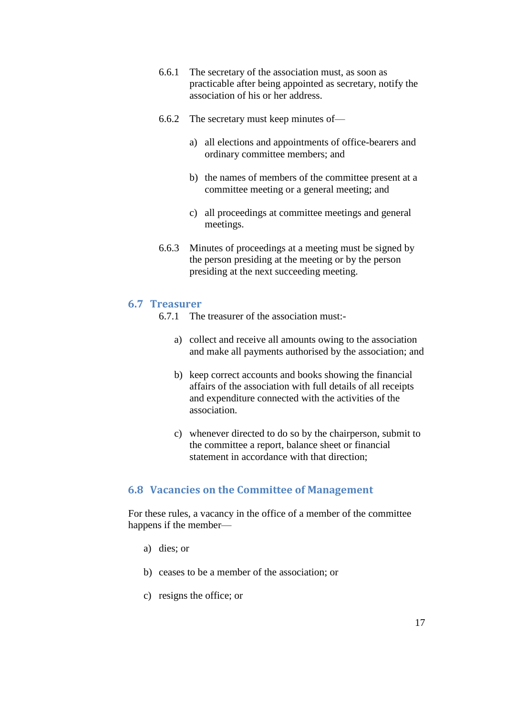- 6.6.1 The secretary of the association must, as soon as practicable after being appointed as secretary, notify the association of his or her address.
- 6.6.2 The secretary must keep minutes of
	- a) all elections and appointments of office-bearers and ordinary committee members; and
	- b) the names of members of the committee present at a committee meeting or a general meeting; and
	- c) all proceedings at committee meetings and general meetings.
- 6.6.3 Minutes of proceedings at a meeting must be signed by the person presiding at the meeting or by the person presiding at the next succeeding meeting.

#### <span id="page-16-0"></span>**6.7 Treasurer**

- 6.7.1 The treasurer of the association must:
	- a) collect and receive all amounts owing to the association and make all payments authorised by the association; and
	- b) keep correct accounts and books showing the financial affairs of the association with full details of all receipts and expenditure connected with the activities of the association.
	- c) whenever directed to do so by the chairperson, submit to the committee a report, balance sheet or financial statement in accordance with that direction;

#### <span id="page-16-1"></span>**6.8 Vacancies on the Committee of Management**

For these rules, a vacancy in the office of a member of the committee happens if the member—

- a) dies; or
- b) ceases to be a member of the association; or
- c) resigns the office; or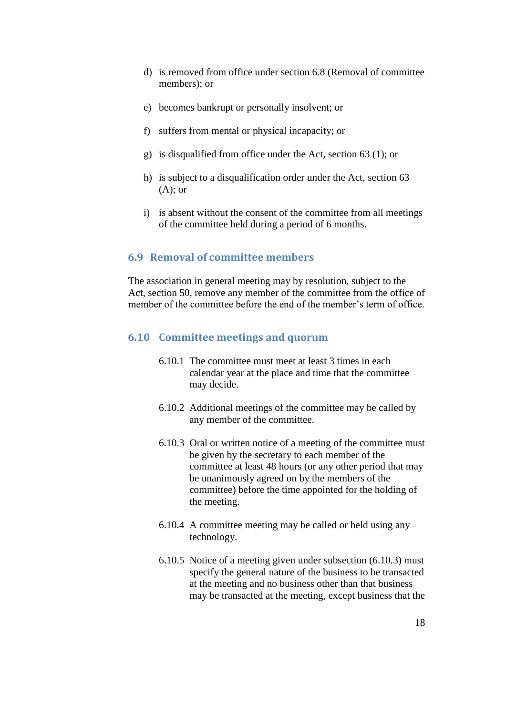- d) is removed from office under section 6.8 (Removal of committee members); or
- e) becomes bankrupt or personally insolvent; or
- f) suffers from mental or physical incapacity; or
- g) is disqualified from office under the Act, section 63 (1); or
- h) is subject to a disqualification order under the Act, section 63  $(A)$ ; or
- i) is absent without the consent of the committee from all meetings of the committee held during a period of 6 months.

#### <span id="page-17-0"></span>**6.9 Removal of committee members**

The association in general meeting may by resolution, subject to the Act, section 50, remove any member of the committee from the office of member of the committee before the end of the member's term of office.

#### <span id="page-17-1"></span>**6.10 Committee meetings and quorum**

- 6.10.1 The committee must meet at least 3 times in each calendar year at the place and time that the committee may decide.
- 6.10.2 Additional meetings of the committee may be called by any member of the committee.
- 6.10.3 Oral or written notice of a meeting of the committee must be given by the secretary to each member of the committee at least 48 hours (or any other period that may be unanimously agreed on by the members of the committee) before the time appointed for the holding of the meeting.
- 6.10.4 A committee meeting may be called or held using any technology.
- 6.10.5 Notice of a meeting given under subsection (6.10.3) must specify the general nature of the business to be transacted at the meeting and no business other than that business may be transacted at the meeting, except business that the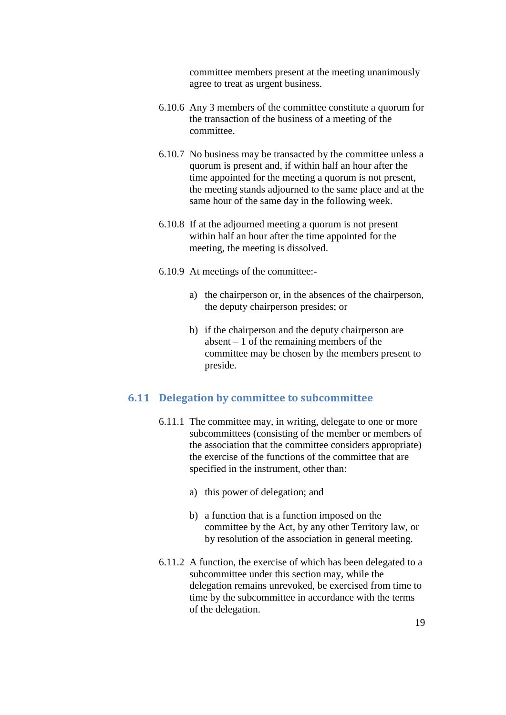committee members present at the meeting unanimously agree to treat as urgent business.

- 6.10.6 Any 3 members of the committee constitute a quorum for the transaction of the business of a meeting of the committee.
- 6.10.7 No business may be transacted by the committee unless a quorum is present and, if within half an hour after the time appointed for the meeting a quorum is not present, the meeting stands adjourned to the same place and at the same hour of the same day in the following week.
- 6.10.8 If at the adjourned meeting a quorum is not present within half an hour after the time appointed for the meeting, the meeting is dissolved.
- 6.10.9 At meetings of the committee:
	- a) the chairperson or, in the absences of the chairperson, the deputy chairperson presides; or
	- b) if the chairperson and the deputy chairperson are absent  $-1$  of the remaining members of the committee may be chosen by the members present to preside.

#### <span id="page-18-0"></span>**6.11 Delegation by committee to subcommittee**

- 6.11.1 The committee may, in writing, delegate to one or more subcommittees (consisting of the member or members of the association that the committee considers appropriate) the exercise of the functions of the committee that are specified in the instrument, other than:
	- a) this power of delegation; and
	- b) a function that is a function imposed on the committee by the Act, by any other Territory law, or by resolution of the association in general meeting.
- 6.11.2 A function, the exercise of which has been delegated to a subcommittee under this section may, while the delegation remains unrevoked, be exercised from time to time by the subcommittee in accordance with the terms of the delegation.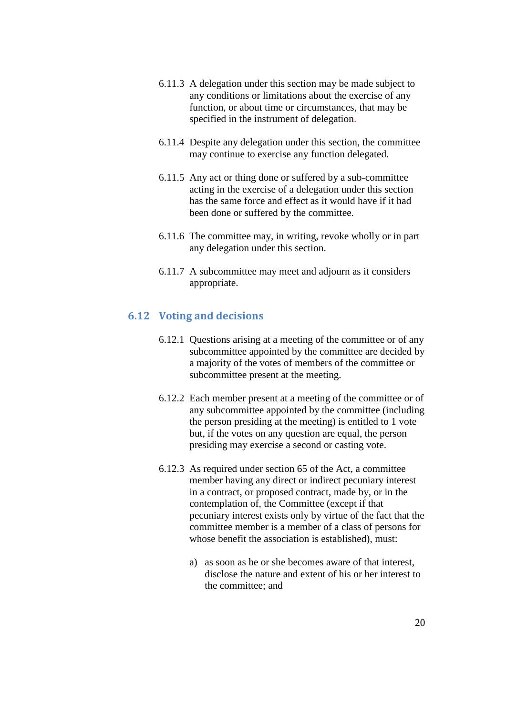- 6.11.3 A delegation under this section may be made subject to any conditions or limitations about the exercise of any function, or about time or circumstances, that may be specified in the instrument of delegation.
- 6.11.4 Despite any delegation under this section, the committee may continue to exercise any function delegated.
- 6.11.5 Any act or thing done or suffered by a sub-committee acting in the exercise of a delegation under this section has the same force and effect as it would have if it had been done or suffered by the committee.
- 6.11.6 The committee may, in writing, revoke wholly or in part any delegation under this section.
- 6.11.7 A subcommittee may meet and adjourn as it considers appropriate.

#### <span id="page-19-0"></span>**6.12 Voting and decisions**

- 6.12.1 Questions arising at a meeting of the committee or of any subcommittee appointed by the committee are decided by a majority of the votes of members of the committee or subcommittee present at the meeting.
- 6.12.2 Each member present at a meeting of the committee or of any subcommittee appointed by the committee (including the person presiding at the meeting) is entitled to 1 vote but, if the votes on any question are equal, the person presiding may exercise a second or casting vote.
- 6.12.3 As required under section 65 of the Act, a committee member having any direct or indirect pecuniary interest in a contract, or proposed contract, made by, or in the contemplation of, the Committee (except if that pecuniary interest exists only by virtue of the fact that the committee member is a member of a class of persons for whose benefit the association is established), must:
	- a) as soon as he or she becomes aware of that interest, disclose the nature and extent of his or her interest to the committee; and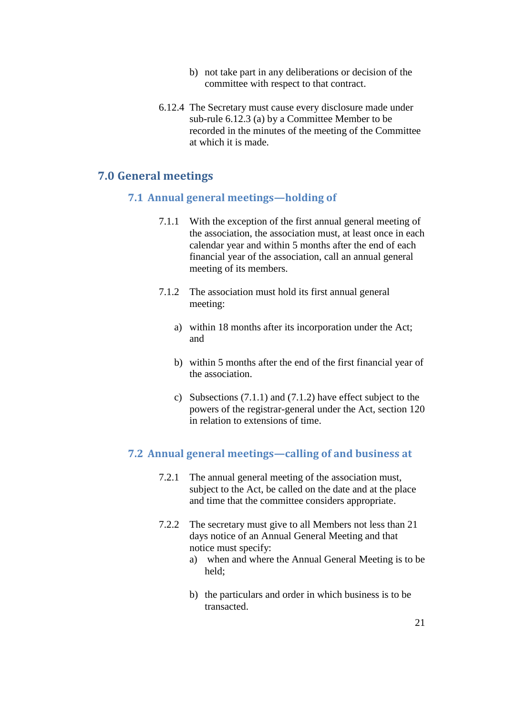- b) not take part in any deliberations or decision of the committee with respect to that contract.
- 6.12.4 The Secretary must cause every disclosure made under sub-rule 6.12.3 (a) by a Committee Member to be recorded in the minutes of the meeting of the Committee at which it is made.

## <span id="page-20-1"></span><span id="page-20-0"></span>**7.0 General meetings**

#### **7.1 Annual general meetings—holding of**

- 7.1.1 With the exception of the first annual general meeting of the association, the association must, at least once in each calendar year and within 5 months after the end of each financial year of the association, call an annual general meeting of its members.
- 7.1.2 The association must hold its first annual general meeting:
	- a) within 18 months after its incorporation under the Act; and
	- b) within 5 months after the end of the first financial year of the association.
	- c) Subsections (7.1.1) and (7.1.2) have effect subject to the powers of the registrar-general under the Act, section 120 in relation to extensions of time.

#### <span id="page-20-2"></span>**7.2 Annual general meetings—calling of and business at**

- 7.2.1 The annual general meeting of the association must, subject to the Act, be called on the date and at the place and time that the committee considers appropriate.
- 7.2.2 The secretary must give to all Members not less than 21 days notice of an Annual General Meeting and that notice must specify:
	- a) when and where the Annual General Meeting is to be held;
	- b) the particulars and order in which business is to be transacted.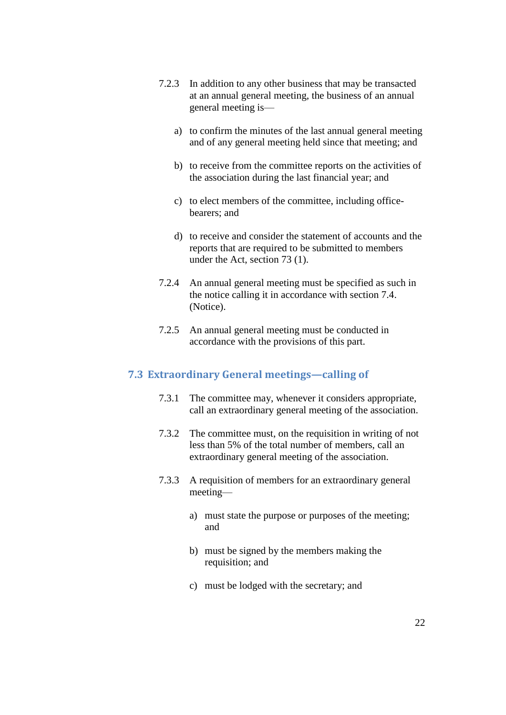- 7.2.3 In addition to any other business that may be transacted at an annual general meeting, the business of an annual general meeting is
	- a) to confirm the minutes of the last annual general meeting and of any general meeting held since that meeting; and
	- b) to receive from the committee reports on the activities of the association during the last financial year; and
	- c) to elect members of the committee, including officebearers; and
	- d) to receive and consider the statement of accounts and the reports that are required to be submitted to members under the Act, section 73 (1).
- 7.2.4 An annual general meeting must be specified as such in the notice calling it in accordance with section 7.4. (Notice).
- 7.2.5 An annual general meeting must be conducted in accordance with the provisions of this part.

## <span id="page-21-0"></span>**7.3 Extraordinary General meetings—calling of**

- 7.3.1 The committee may, whenever it considers appropriate, call an extraordinary general meeting of the association.
- 7.3.2 The committee must, on the requisition in writing of not less than 5% of the total number of members, call an extraordinary general meeting of the association.
- 7.3.3 A requisition of members for an extraordinary general meeting
	- a) must state the purpose or purposes of the meeting; and
	- b) must be signed by the members making the requisition; and
	- c) must be lodged with the secretary; and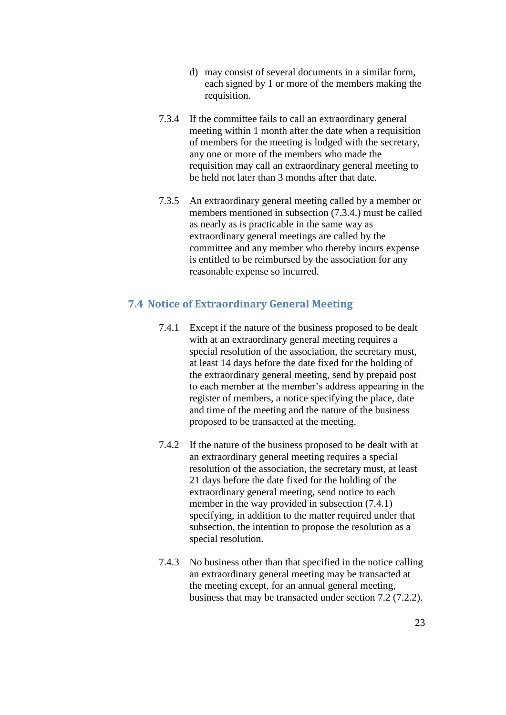- d) may consist of several documents in a similar form, each signed by 1 or more of the members making the requisition.
- 7.3.4 If the committee fails to call an extraordinary general meeting within 1 month after the date when a requisition of members for the meeting is lodged with the secretary, any one or more of the members who made the requisition may call an extraordinary general meeting to be held not later than 3 months after that date.
- 7.3.5 An extraordinary general meeting called by a member or members mentioned in subsection (7.3.4.) must be called as nearly as is practicable in the same way as extraordinary general meetings are called by the committee and any member who thereby incurs expense is entitled to be reimbursed by the association for any reasonable expense so incurred.

#### <span id="page-22-0"></span>**7.4 Notice of Extraordinary General Meeting**

- 7.4.1 Except if the nature of the business proposed to be dealt with at an extraordinary general meeting requires a special resolution of the association, the secretary must, at least 14 days before the date fixed for the holding of the extraordinary general meeting, send by prepaid post to each member at the member's address appearing in the register of members, a notice specifying the place, date and time of the meeting and the nature of the business proposed to be transacted at the meeting.
- 7.4.2 If the nature of the business proposed to be dealt with at an extraordinary general meeting requires a special resolution of the association, the secretary must, at least 21 days before the date fixed for the holding of the extraordinary general meeting, send notice to each member in the way provided in subsection (7.4.1) specifying, in addition to the matter required under that subsection, the intention to propose the resolution as a special resolution.
- 7.4.3 No business other than that specified in the notice calling an extraordinary general meeting may be transacted at the meeting except, for an annual general meeting, business that may be transacted under section 7.2 (7.2.2).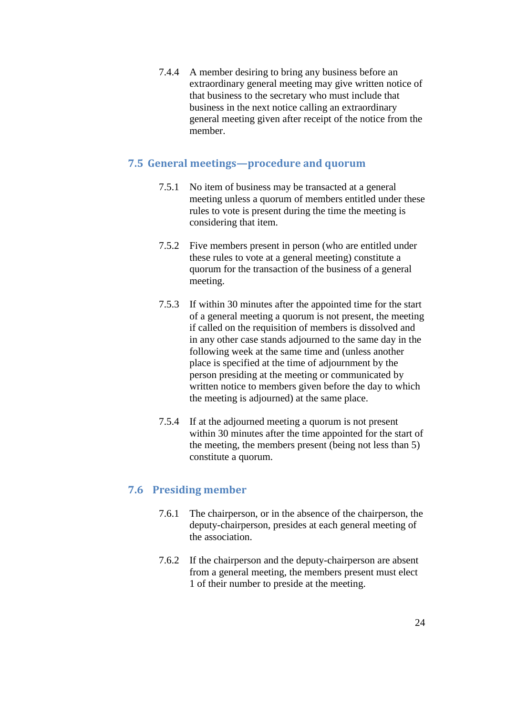7.4.4 A member desiring to bring any business before an extraordinary general meeting may give written notice of that business to the secretary who must include that business in the next notice calling an extraordinary general meeting given after receipt of the notice from the member.

## <span id="page-23-0"></span>**7.5 General meetings—procedure and quorum**

- 7.5.1 No item of business may be transacted at a general meeting unless a quorum of members entitled under these rules to vote is present during the time the meeting is considering that item.
- 7.5.2 Five members present in person (who are entitled under these rules to vote at a general meeting) constitute a quorum for the transaction of the business of a general meeting.
- 7.5.3 If within 30 minutes after the appointed time for the start of a general meeting a quorum is not present, the meeting if called on the requisition of members is dissolved and in any other case stands adjourned to the same day in the following week at the same time and (unless another place is specified at the time of adjournment by the person presiding at the meeting or communicated by written notice to members given before the day to which the meeting is adjourned) at the same place.
- 7.5.4 If at the adjourned meeting a quorum is not present within 30 minutes after the time appointed for the start of the meeting, the members present (being not less than 5) constitute a quorum.

## <span id="page-23-1"></span>**7.6 Presiding member**

- 7.6.1 The chairperson, or in the absence of the chairperson, the deputy-chairperson, presides at each general meeting of the association.
- 7.6.2 If the chairperson and the deputy-chairperson are absent from a general meeting, the members present must elect 1 of their number to preside at the meeting.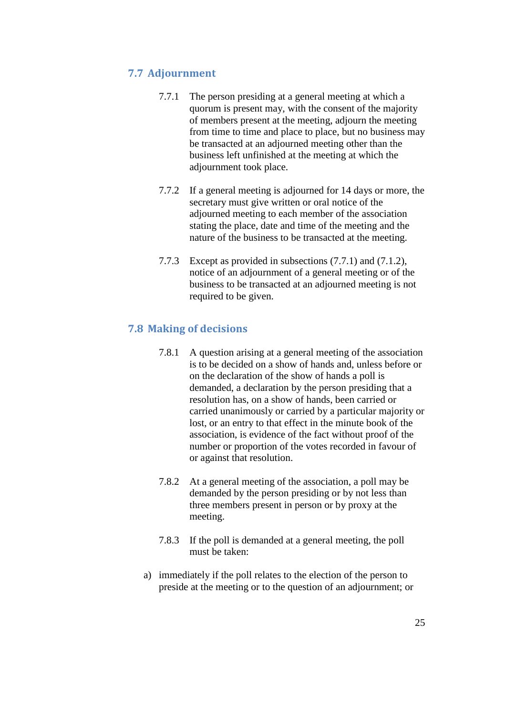## <span id="page-24-0"></span>**7.7 Adjournment**

- 7.7.1 The person presiding at a general meeting at which a quorum is present may, with the consent of the majority of members present at the meeting, adjourn the meeting from time to time and place to place, but no business may be transacted at an adjourned meeting other than the business left unfinished at the meeting at which the adjournment took place.
- 7.7.2 If a general meeting is adjourned for 14 days or more, the secretary must give written or oral notice of the adjourned meeting to each member of the association stating the place, date and time of the meeting and the nature of the business to be transacted at the meeting.
- 7.7.3 Except as provided in subsections (7.7.1) and (7.1.2), notice of an adjournment of a general meeting or of the business to be transacted at an adjourned meeting is not required to be given.

## <span id="page-24-1"></span>**7.8 Making of decisions**

- 7.8.1 A question arising at a general meeting of the association is to be decided on a show of hands and, unless before or on the declaration of the show of hands a poll is demanded, a declaration by the person presiding that a resolution has, on a show of hands, been carried or carried unanimously or carried by a particular majority or lost, or an entry to that effect in the minute book of the association, is evidence of the fact without proof of the number or proportion of the votes recorded in favour of or against that resolution.
- 7.8.2 At a general meeting of the association, a poll may be demanded by the person presiding or by not less than three members present in person or by proxy at the meeting.
- 7.8.3 If the poll is demanded at a general meeting, the poll must be taken:
- a) immediately if the poll relates to the election of the person to preside at the meeting or to the question of an adjournment; or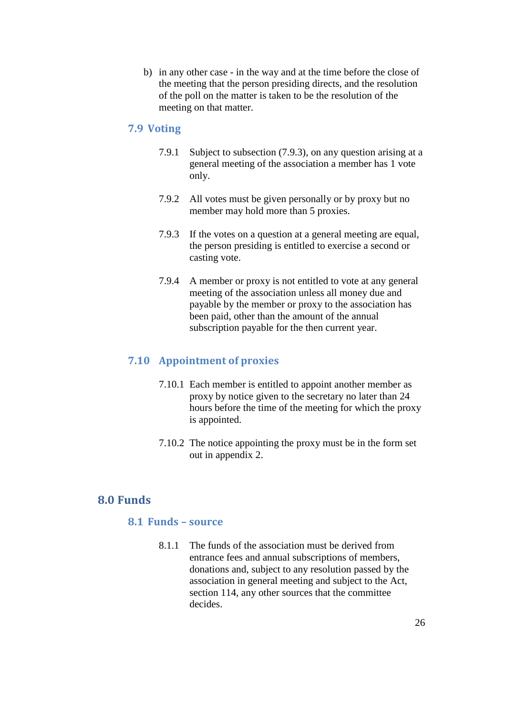b) in any other case - in the way and at the time before the close of the meeting that the person presiding directs, and the resolution of the poll on the matter is taken to be the resolution of the meeting on that matter.

## <span id="page-25-0"></span>**7.9 Voting**

- 7.9.1 Subject to subsection (7.9.3), on any question arising at a general meeting of the association a member has 1 vote only.
- 7.9.2 All votes must be given personally or by proxy but no member may hold more than 5 proxies.
- 7.9.3 If the votes on a question at a general meeting are equal, the person presiding is entitled to exercise a second or casting vote.
- 7.9.4 A member or proxy is not entitled to vote at any general meeting of the association unless all money due and payable by the member or proxy to the association has been paid, other than the amount of the annual subscription payable for the then current year.

## <span id="page-25-1"></span>**7.10 Appointment of proxies**

- 7.10.1 Each member is entitled to appoint another member as proxy by notice given to the secretary no later than 24 hours before the time of the meeting for which the proxy is appointed.
- 7.10.2 The notice appointing the proxy must be in the form set out in appendix 2.

## <span id="page-25-3"></span><span id="page-25-2"></span>**8.0 Funds**

#### **8.1 Funds – source**

8.1.1 The funds of the association must be derived from entrance fees and annual subscriptions of members, donations and, subject to any resolution passed by the association in general meeting and subject to the Act, section 114, any other sources that the committee decides.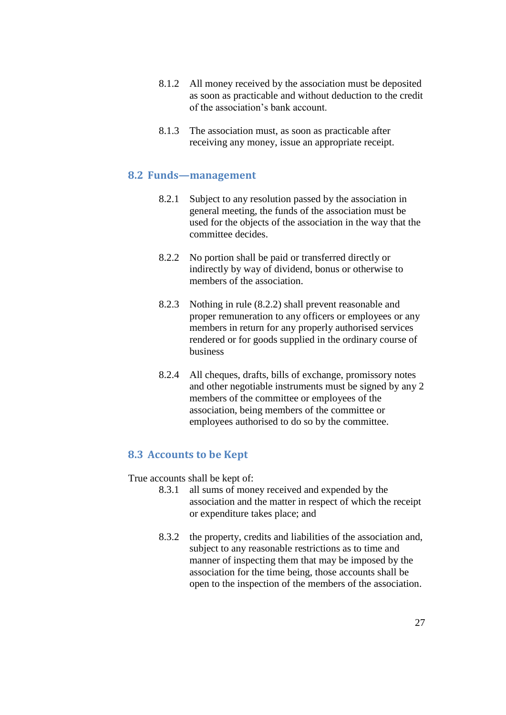- 8.1.2 All money received by the association must be deposited as soon as practicable and without deduction to the credit of the association's bank account.
- 8.1.3 The association must, as soon as practicable after receiving any money, issue an appropriate receipt.

#### <span id="page-26-0"></span>**8.2 Funds—management**

- 8.2.1 Subject to any resolution passed by the association in general meeting, the funds of the association must be used for the objects of the association in the way that the committee decides.
- 8.2.2 No portion shall be paid or transferred directly or indirectly by way of dividend, bonus or otherwise to members of the association.
- 8.2.3 Nothing in rule (8.2.2) shall prevent reasonable and proper remuneration to any officers or employees or any members in return for any properly authorised services rendered or for goods supplied in the ordinary course of business
- 8.2.4 All cheques, drafts, bills of exchange, promissory notes and other negotiable instruments must be signed by any 2 members of the committee or employees of the association, being members of the committee or employees authorised to do so by the committee.

## <span id="page-26-1"></span>**8.3 Accounts to be Kept**

True accounts shall be kept of:

- 8.3.1 all sums of money received and expended by the association and the matter in respect of which the receipt or expenditure takes place; and
- 8.3.2 the property, credits and liabilities of the association and, subject to any reasonable restrictions as to time and manner of inspecting them that may be imposed by the association for the time being, those accounts shall be open to the inspection of the members of the association.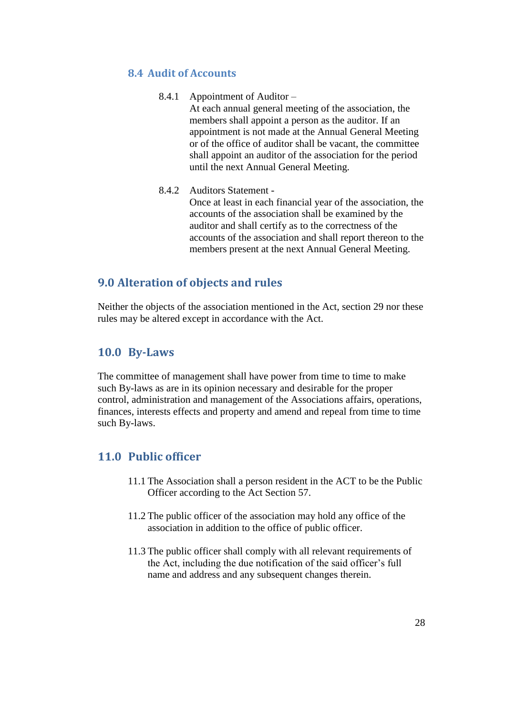## <span id="page-27-0"></span>**8.4 Audit of Accounts**

- 8.4.1 Appointment of Auditor At each annual general meeting of the association, the members shall appoint a person as the auditor. If an appointment is not made at the Annual General Meeting or of the office of auditor shall be vacant, the committee shall appoint an auditor of the association for the period until the next Annual General Meeting.
- 8.4.2 Auditors Statement -

Once at least in each financial year of the association, the accounts of the association shall be examined by the auditor and shall certify as to the correctness of the accounts of the association and shall report thereon to the members present at the next Annual General Meeting.

## <span id="page-27-1"></span>**9.0 Alteration of objects and rules**

Neither the objects of the association mentioned in the Act, section 29 nor these rules may be altered except in accordance with the Act.

## <span id="page-27-2"></span>**10.0 By-Laws**

The committee of management shall have power from time to time to make such By-laws as are in its opinion necessary and desirable for the proper control, administration and management of the Associations affairs, operations, finances, interests effects and property and amend and repeal from time to time such By-laws.

## <span id="page-27-3"></span>**11.0 Public officer**

- 11.1 The Association shall a person resident in the ACT to be the Public Officer according to the Act Section 57.
- 11.2 The public officer of the association may hold any office of the association in addition to the office of public officer.
- 11.3 The public officer shall comply with all relevant requirements of the Act, including the due notification of the said officer's full name and address and any subsequent changes therein.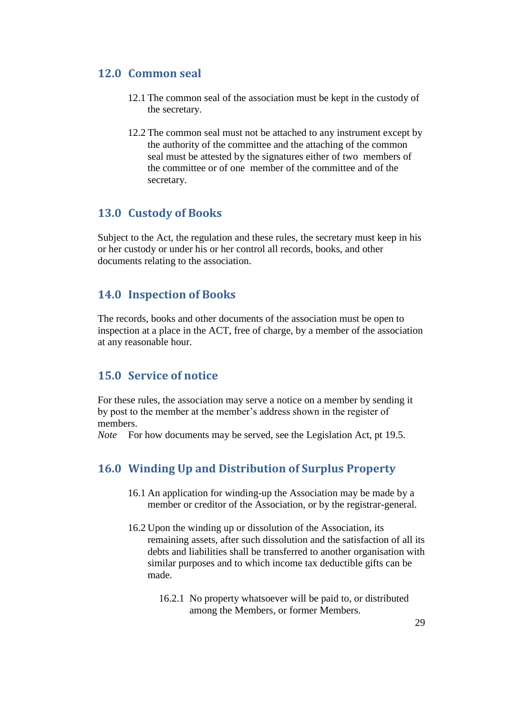## <span id="page-28-0"></span>**12.0 Common seal**

- 12.1 The common seal of the association must be kept in the custody of the secretary.
- 12.2 The common seal must not be attached to any instrument except by the authority of the committee and the attaching of the common seal must be attested by the signatures either of two members of the committee or of one member of the committee and of the secretary.

## <span id="page-28-1"></span>**13.0 Custody of Books**

Subject to the Act, the regulation and these rules, the secretary must keep in his or her custody or under his or her control all records, books, and other documents relating to the association.

## <span id="page-28-2"></span>**14.0 Inspection of Books**

The records, books and other documents of the association must be open to inspection at a place in the ACT, free of charge, by a member of the association at any reasonable hour.

## <span id="page-28-3"></span>**15.0 Service of notice**

For these rules, the association may serve a notice on a member by sending it by post to the member at the member's address shown in the register of members.

<span id="page-28-4"></span>*Note* For how documents may be served, see the Legislation Act, pt 19.5.

## **16.0 Winding Up and Distribution of Surplus Property**

- 16.1 An application for winding-up the Association may be made by a member or creditor of the Association, or by the registrar-general.
- 16.2 Upon the winding up or dissolution of the Association, its remaining assets, after such dissolution and the satisfaction of all its debts and liabilities shall be transferred to another organisation with similar purposes and to which income tax deductible gifts can be made.
	- 16.2.1 No property whatsoever will be paid to, or distributed among the Members, or former Members.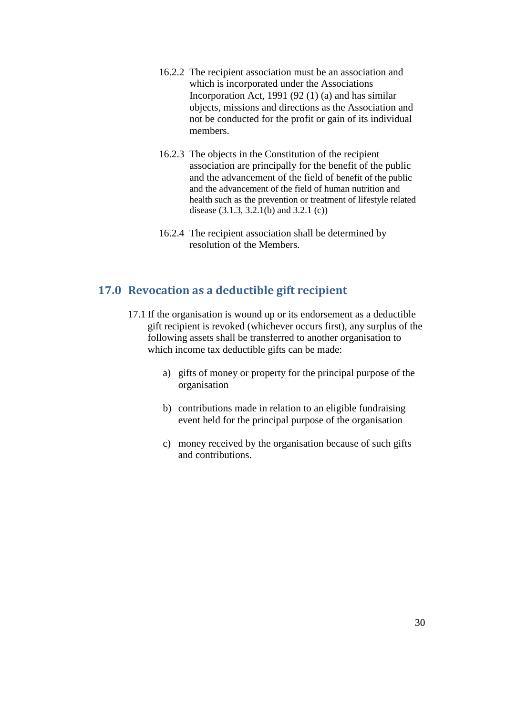- 16.2.2 The recipient association must be an association and which is incorporated under the Associations Incorporation Act, 1991 (92 (1) (a) and has similar objects, missions and directions as the Association and not be conducted for the profit or gain of its individual members.
- 16.2.3 The objects in the Constitution of the recipient association are principally for the benefit of the public and the advancement of the field of benefit of the public and the advancement of the field of human nutrition and health such as the prevention or treatment of lifestyle related disease (3.1.3, 3.2.1(b) and 3.2.1 (c))
- 16.2.4 The recipient association shall be determined by resolution of the Members.

## <span id="page-29-0"></span>**17.0 Revocation as a deductible gift recipient**

- 17.1 If the organisation is wound up or its endorsement as a deductible gift recipient is revoked (whichever occurs first), any surplus of the following assets shall be transferred to another organisation to which income tax deductible gifts can be made:
	- a) gifts of money or property for the principal purpose of the organisation
	- b) contributions made in relation to an eligible fundraising event held for the principal purpose of the organisation
	- c) money received by the organisation because of such gifts and contributions.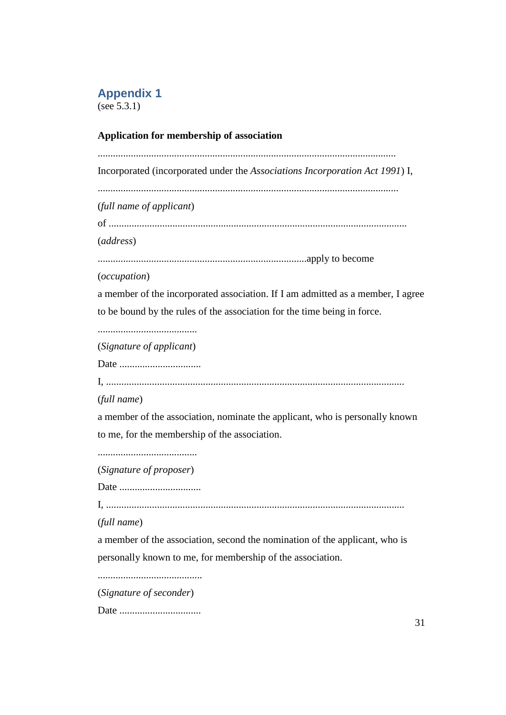## <span id="page-30-0"></span>**Appendix 1**

(see 5.3.1)

## **Application for membership of association**

..................................................................................................................... Incorporated (incorporated under the *Associations Incorporation Act 1991*) I, ...................................................................................................................... (*full name of applicant*) of ..................................................................................................................... (*address*) ..................................................................................apply to become (*occupation*) a member of the incorporated association. If I am admitted as a member, I agree to be bound by the rules of the association for the time being in force. ....................................... (*Signature of applicant*) Date ................................ I, ..................................................................................................................... (*full name*) a member of the association, nominate the applicant, who is personally known to me, for the membership of the association. ....................................... (*Signature of proposer*) Date ................................ I, ..................................................................................................................... (*full name*) a member of the association, second the nomination of the applicant, who is personally known to me, for membership of the association. ......................................... (*Signature of seconder*)

Date ................................